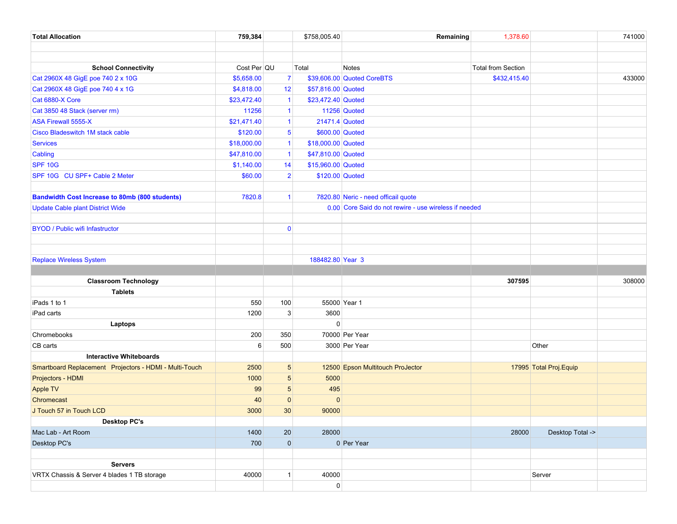| <b>Total Allocation</b>                                | 759,384     |                 | \$758,005.40        | Remaining                                             | 1,378.60                  | 741000                  |
|--------------------------------------------------------|-------------|-----------------|---------------------|-------------------------------------------------------|---------------------------|-------------------------|
|                                                        |             |                 |                     |                                                       |                           |                         |
|                                                        |             |                 |                     |                                                       |                           |                         |
| <b>School Connectivity</b>                             | Cost Per QU |                 | Total               | Notes                                                 | <b>Total from Section</b> |                         |
| Cat 2960X 48 GigE poe 740 2 x 10G                      | \$5,658.00  | $\overline{7}$  |                     | \$39,606.00 Quoted CoreBTS                            | \$432,415.40              | 433000                  |
| Cat 2960X 48 GigE poe 740 4 x 1G                       | \$4,818.00  | 12 <sup>2</sup> | \$57,816.00 Quoted  |                                                       |                           |                         |
| Cat 6880-X Core                                        | \$23,472.40 | $\mathbf{1}$    | \$23,472.40 Quoted  |                                                       |                           |                         |
| Cat 3850 48 Stack (server rm)                          | 11256       | $\mathbf 1$     |                     | 11256 Quoted                                          |                           |                         |
| <b>ASA Firewall 5555-X</b>                             | \$21,471.40 | $\mathbf{1}$    | 21471.4 Quoted      |                                                       |                           |                         |
| <b>Cisco Bladeswitch 1M stack cable</b>                | \$120.00    | 5 <sup>5</sup>  | \$600.00 Quoted     |                                                       |                           |                         |
| <b>Services</b>                                        | \$18,000.00 | $\mathbf{1}$    | \$18,000.00 Quoted  |                                                       |                           |                         |
| Cabling                                                | \$47,810.00 | $\mathbf{1}$    | \$47,810.00 Quoted  |                                                       |                           |                         |
| <b>SPF 10G</b>                                         | \$1,140.00  | 14              | \$15,960.00 Quoted  |                                                       |                           |                         |
| SPF 10G CU SPF+ Cable 2 Meter                          | \$60.00     | $\overline{2}$  | \$120.00 Quoted     |                                                       |                           |                         |
|                                                        |             |                 |                     |                                                       |                           |                         |
| <b>Bandwidth Cost Increase to 80mb (800 students)</b>  | 7820.8      | $\mathbf{1}$    |                     | 7820.80 Neric - need officail quote                   |                           |                         |
| <b>Update Cable plant District Wide</b>                |             |                 |                     | 0.00 Core Said do not rewire - use wireless if needed |                           |                         |
|                                                        |             |                 |                     |                                                       |                           |                         |
| <b>BYOD / Public wifi Infastructor</b>                 |             | $\mathbf{0}$    |                     |                                                       |                           |                         |
|                                                        |             |                 |                     |                                                       |                           |                         |
|                                                        |             |                 |                     |                                                       |                           |                         |
| <b>Replace Wireless System</b>                         |             |                 | 188482.80 Year 3    |                                                       |                           |                         |
|                                                        |             |                 |                     |                                                       | 307595                    | 308000                  |
| <b>Classroom Technology</b>                            |             |                 |                     |                                                       |                           |                         |
| <b>Tablets</b><br>iPads 1 to 1                         | 550         | 100             | 55000 Year 1        |                                                       |                           |                         |
|                                                        |             | 3               |                     |                                                       |                           |                         |
| iPad carts                                             | 1200        |                 | 3600<br>$\Omega$    |                                                       |                           |                         |
| Laptops<br>Chromebooks                                 | 200         | 350             |                     | 70000 Per Year                                        |                           |                         |
| CB carts                                               | 6           | 500             |                     | 3000 Per Year                                         |                           | Other                   |
| <b>Interactive Whiteboards</b>                         |             |                 |                     |                                                       |                           |                         |
| Smartboard Replacement Projectors - HDMI - Multi-Touch | 2500        | 5 <sup>5</sup>  |                     | 12500 Epson Multitouch ProJector                      |                           | 17995 Total Proj. Equip |
| Projectors - HDMI                                      | 1000        | $5\overline{)}$ | 5000                |                                                       |                           |                         |
| Apple TV                                               | 99          | $5\overline{)}$ | 495                 |                                                       |                           |                         |
| Chromecast                                             | 40          | $\mathbf 0$     | $\mathbf 0$         |                                                       |                           |                         |
| J Touch 57 in Touch LCD                                | 3000        | 30 <sup>°</sup> | 90000               |                                                       |                           |                         |
| <b>Desktop PC's</b>                                    |             |                 |                     |                                                       |                           |                         |
| Mac Lab - Art Room                                     | 1400        | 20              | 28000               |                                                       | 28000                     | Desktop Total ->        |
| Desktop PC's                                           | 700         | $\overline{0}$  |                     | 0 Per Year                                            |                           |                         |
|                                                        |             |                 |                     |                                                       |                           |                         |
| <b>Servers</b>                                         |             |                 |                     |                                                       |                           |                         |
| VRTX Chassis & Server 4 blades 1 TB storage            | 40000       | $\mathbf{1}$    | 40000               |                                                       |                           | Server                  |
|                                                        |             |                 | $\mathsf{O}\xspace$ |                                                       |                           |                         |